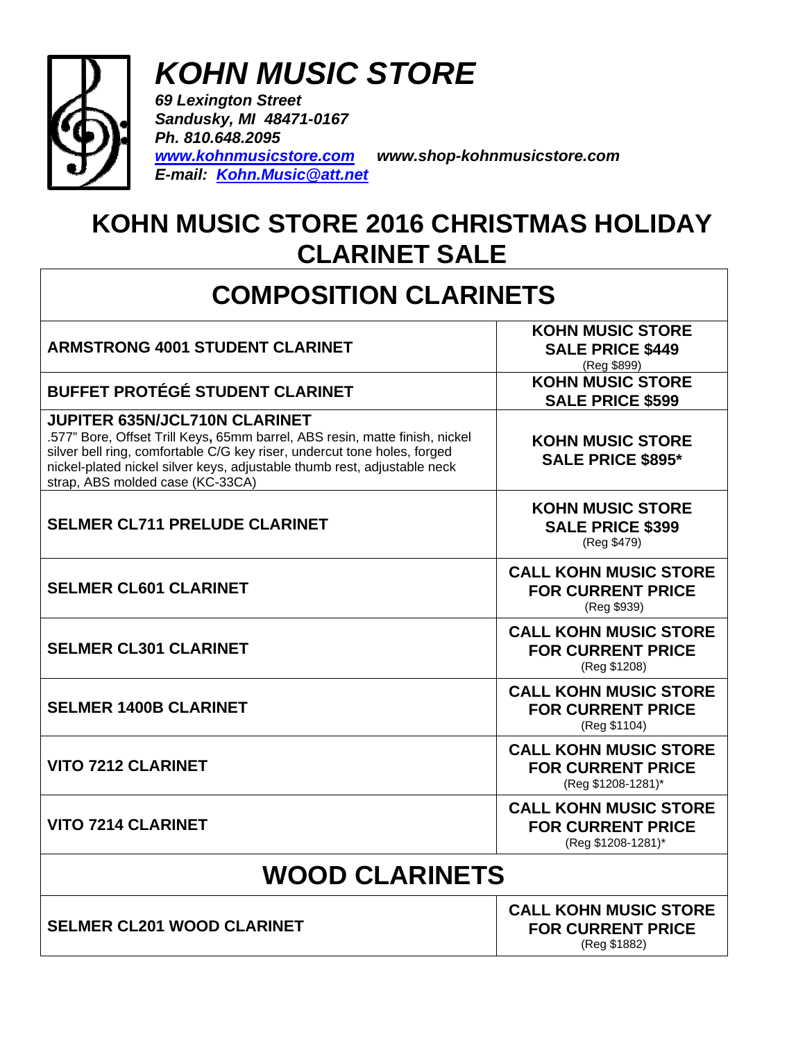

## *KOHN MUSIC STORE*

*69 Lexington Street Sandusky, MI 48471-0167 Ph. 810.648.2095 [www.kohnmusicstore.com](http://www.kohnmusicstore.com/) www.shop-kohnmusicstore.com E-mail: [Kohn.Music@att.net](mailto:kevnkohn@greatlakes.net)*

## **KOHN MUSIC STORE 2016 CHRISTMAS HOLIDAY CLARINET SALE**

## **COMPOSITION CLARINETS**

| <b>ARMSTRONG 4001 STUDENT CLARINET</b>                                                                                                                                                                                                                                                                          | <b>KOHN MUSIC STORE</b><br><b>SALE PRICE \$449</b><br>(Reg \$899)              |
|-----------------------------------------------------------------------------------------------------------------------------------------------------------------------------------------------------------------------------------------------------------------------------------------------------------------|--------------------------------------------------------------------------------|
| <b>BUFFET PROTÉGÉ STUDENT CLARINET</b>                                                                                                                                                                                                                                                                          | <b>KOHN MUSIC STORE</b><br><b>SALE PRICE \$599</b>                             |
| <b>JUPITER 635N/JCL710N CLARINET</b><br>.577" Bore, Offset Trill Keys, 65mm barrel, ABS resin, matte finish, nickel<br>silver bell ring, comfortable C/G key riser, undercut tone holes, forged<br>nickel-plated nickel silver keys, adjustable thumb rest, adjustable neck<br>strap, ABS molded case (KC-33CA) | <b>KOHN MUSIC STORE</b><br><b>SALE PRICE \$895*</b>                            |
| <b>SELMER CL711 PRELUDE CLARINET</b>                                                                                                                                                                                                                                                                            | <b>KOHN MUSIC STORE</b><br><b>SALE PRICE \$399</b><br>(Reg \$479)              |
| <b>SELMER CL601 CLARINET</b>                                                                                                                                                                                                                                                                                    | <b>CALL KOHN MUSIC STORE</b><br><b>FOR CURRENT PRICE</b><br>(Reg \$939)        |
| <b>SELMER CL301 CLARINET</b>                                                                                                                                                                                                                                                                                    | <b>CALL KOHN MUSIC STORE</b><br><b>FOR CURRENT PRICE</b><br>(Reg \$1208)       |
| <b>SELMER 1400B CLARINET</b>                                                                                                                                                                                                                                                                                    | <b>CALL KOHN MUSIC STORE</b><br><b>FOR CURRENT PRICE</b><br>(Reg \$1104)       |
| <b>VITO 7212 CLARINET</b>                                                                                                                                                                                                                                                                                       | <b>CALL KOHN MUSIC STORE</b><br><b>FOR CURRENT PRICE</b><br>(Reg \$1208-1281)* |
| <b>VITO 7214 CLARINET</b>                                                                                                                                                                                                                                                                                       | <b>CALL KOHN MUSIC STORE</b><br><b>FOR CURRENT PRICE</b><br>(Reg \$1208-1281)* |
| <b>WOOD CLARINETS</b>                                                                                                                                                                                                                                                                                           |                                                                                |
| <b>SELMER CL201 WOOD CLARINET</b>                                                                                                                                                                                                                                                                               | <b>CALL KOHN MUSIC STORE</b><br><b>FOR CURRENT PRICE</b><br>(Reg \$1882)       |